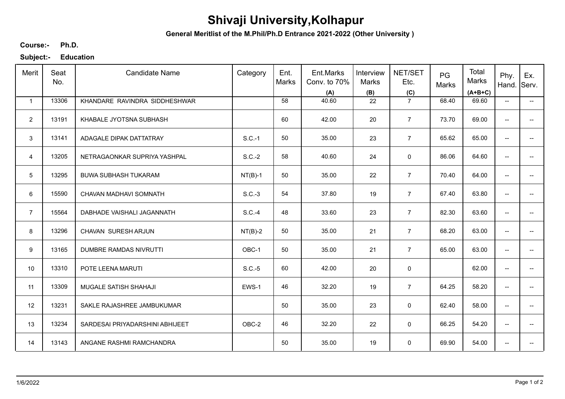## **Shivaji University,Kolhapur**

**General Meritlist of the M.Phil/Ph.D Entrance 2021-2022 (Other University )**

**Ph.D. Course:-**

**Subject:- Education**

| Merit          | Seat<br>No. | <b>Candidate Name</b>           | Category  | Ent.<br>Marks | Ent.Marks<br>Conv. to 70%<br>(A) | Interview<br>Marks<br>(B) | NET/SET<br>Etc.<br>(C) | PG<br>Marks | Total<br>Marks<br>$(A+B+C)$ | Phy.<br>Hand.            | Ex.<br>Serv.             |
|----------------|-------------|---------------------------------|-----------|---------------|----------------------------------|---------------------------|------------------------|-------------|-----------------------------|--------------------------|--------------------------|
| $\mathbf{1}$   | 13306       | KHANDARE RAVINDRA SIDDHESHWAR   |           | 58            | 40.60                            | 22                        | $\overline{7}$         | 68.40       | 69.60                       | $\overline{\phantom{a}}$ | $\overline{\phantom{a}}$ |
| $\overline{2}$ | 13191       | KHABALE JYOTSNA SUBHASH         |           | 60            | 42.00                            | 20                        | $\overline{7}$         | 73.70       | 69.00                       | $\overline{\phantom{a}}$ |                          |
| 3              | 13141       | ADAGALE DIPAK DATTATRAY         | $S.C.-1$  | 50            | 35.00                            | 23                        | $\overline{7}$         | 65.62       | 65.00                       | $\overline{\phantom{a}}$ |                          |
| $\overline{4}$ | 13205       | NETRAGAONKAR SUPRIYA YASHPAL    | $S.C.-2$  | 58            | 40.60                            | 24                        | $\mathbf 0$            | 86.06       | 64.60                       | $\overline{\phantom{a}}$ |                          |
| 5              | 13295       | <b>BUWA SUBHASH TUKARAM</b>     | $NT(B)-1$ | 50            | 35.00                            | 22                        | $\overline{7}$         | 70.40       | 64.00                       | $\overline{\phantom{a}}$ | --                       |
| 6              | 15590       | CHAVAN MADHAVI SOMNATH          | $S.C.-3$  | 54            | 37.80                            | 19                        | $\overline{7}$         | 67.40       | 63.80                       | $\overline{\phantom{a}}$ | $\overline{\phantom{a}}$ |
| $\overline{7}$ | 15564       | DABHADE VAISHALI JAGANNATH      | S.C.-4    | 48            | 33.60                            | 23                        | $\overline{7}$         | 82.30       | 63.60                       | $\overline{\phantom{a}}$ |                          |
| 8              | 13296       | CHAVAN SURESH ARJUN             | $NT(B)-2$ | 50            | 35.00                            | 21                        | $\overline{7}$         | 68.20       | 63.00                       | $\overline{\phantom{a}}$ |                          |
| 9              | 13165       | <b>DUMBRE RAMDAS NIVRUTTI</b>   | OBC-1     | 50            | 35.00                            | 21                        | $\overline{7}$         | 65.00       | 63.00                       | $\overline{\phantom{a}}$ |                          |
| 10             | 13310       | POTE LEENA MARUTI               | $S.C.-5$  | 60            | 42.00                            | 20                        | $\mathsf 0$            |             | 62.00                       | --                       |                          |
| 11             | 13309       | MUGALE SATISH SHAHAJI           | EWS-1     | 46            | 32.20                            | 19                        | $\overline{7}$         | 64.25       | 58.20                       | $\overline{\phantom{a}}$ | $\qquad \qquad -$        |
| 12             | 13231       | SAKLE RAJASHREE JAMBUKUMAR      |           | 50            | 35.00                            | 23                        | $\mathbf 0$            | 62.40       | 58.00                       | $\overline{\phantom{m}}$ | --                       |
| 13             | 13234       | SARDESAI PRIYADARSHINI ABHIJEET | OBC-2     | 46            | 32.20                            | 22                        | 0                      | 66.25       | 54.20                       | $\overline{\phantom{a}}$ | $\overline{\phantom{a}}$ |
| 14             | 13143       | ANGANE RASHMI RAMCHANDRA        |           | 50            | 35.00                            | 19                        | 0                      | 69.90       | 54.00                       | $\overline{\phantom{a}}$ |                          |